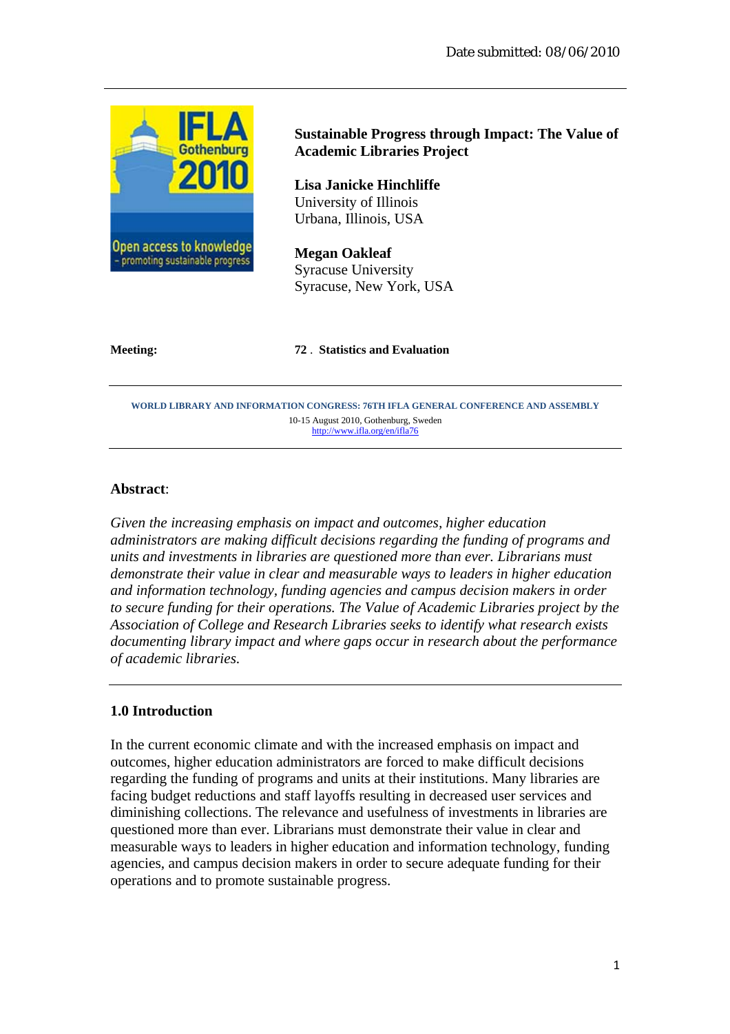

# **Sustainable Progress through Impact: The Value of Academic Libraries Project**

**Lisa Janicke Hinchliffe**  University of Illinois Urbana, Illinois, USA

**Megan Oakleaf** Syracuse University Syracuse, New York, USA

#### **Meeting: 72** . **Statistics and Evaluation**

**WORLD LIBRARY AND INFORMATION CONGRESS: 76TH IFLA GENERAL CONFERENCE AND ASSEMBLY**  10-15 August 2010, Gothenburg, Sweden http://www.ifla.org/en/ifla76

### **Abstract**:

*Given the increasing emphasis on impact and outcomes, higher education administrators are making difficult decisions regarding the funding of programs and units and investments in libraries are questioned more than ever. Librarians must demonstrate their value in clear and measurable ways to leaders in higher education and information technology, funding agencies and campus decision makers in order to secure funding for their operations. The Value of Academic Libraries project by the Association of College and Research Libraries seeks to identify what research exists documenting library impact and where gaps occur in research about the performance of academic libraries.* 

### **1.0 Introduction**

In the current economic climate and with the increased emphasis on impact and outcomes, higher education administrators are forced to make difficult decisions regarding the funding of programs and units at their institutions. Many libraries are facing budget reductions and staff layoffs resulting in decreased user services and diminishing collections. The relevance and usefulness of investments in libraries are questioned more than ever. Librarians must demonstrate their value in clear and measurable ways to leaders in higher education and information technology, funding agencies, and campus decision makers in order to secure adequate funding for their operations and to promote sustainable progress.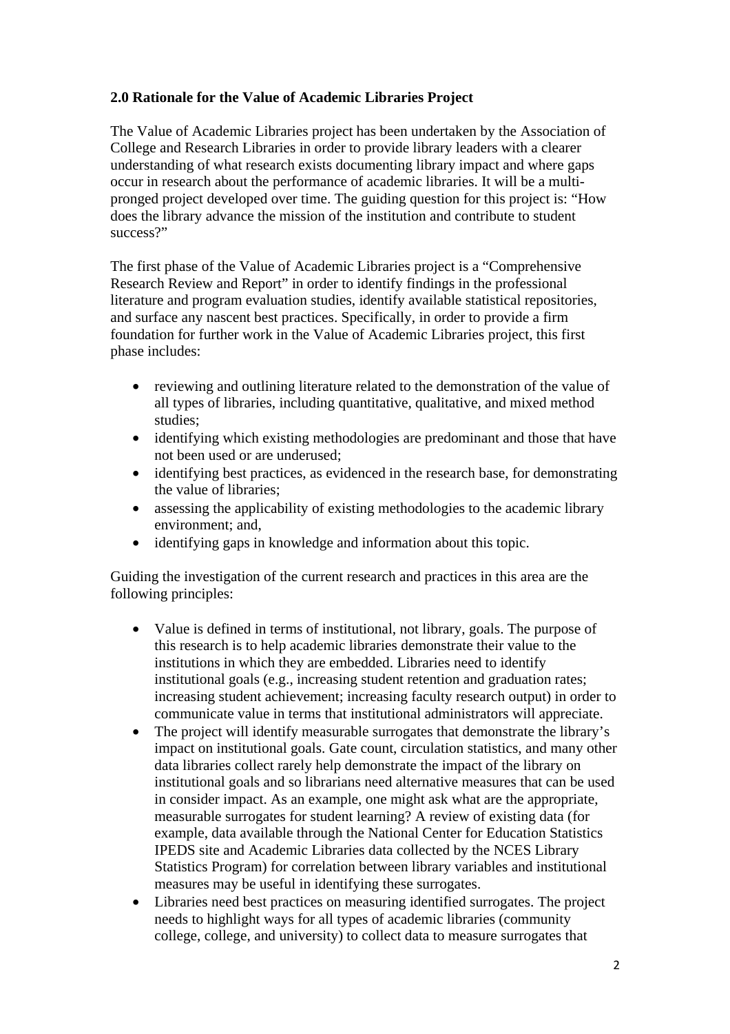# **2.0 Rationale for the Value of Academic Libraries Project**

The Value of Academic Libraries project has been undertaken by the Association of College and Research Libraries in order to provide library leaders with a clearer understanding of what research exists documenting library impact and where gaps occur in research about the performance of academic libraries. It will be a multipronged project developed over time. The guiding question for this project is: "How does the library advance the mission of the institution and contribute to student success?"

The first phase of the Value of Academic Libraries project is a "Comprehensive Research Review and Report" in order to identify findings in the professional literature and program evaluation studies, identify available statistical repositories, and surface any nascent best practices. Specifically, in order to provide a firm foundation for further work in the Value of Academic Libraries project, this first phase includes:

- reviewing and outlining literature related to the demonstration of the value of all types of libraries, including quantitative, qualitative, and mixed method studies;
- identifying which existing methodologies are predominant and those that have not been used or are underused;
- identifying best practices, as evidenced in the research base, for demonstrating the value of libraries;
- assessing the applicability of existing methodologies to the academic library environment; and,
- identifying gaps in knowledge and information about this topic.

Guiding the investigation of the current research and practices in this area are the following principles:

- Value is defined in terms of institutional, not library, goals. The purpose of this research is to help academic libraries demonstrate their value to the institutions in which they are embedded. Libraries need to identify institutional goals (e.g., increasing student retention and graduation rates; increasing student achievement; increasing faculty research output) in order to communicate value in terms that institutional administrators will appreciate.
- The project will identify measurable surrogates that demonstrate the library's impact on institutional goals. Gate count, circulation statistics, and many other data libraries collect rarely help demonstrate the impact of the library on institutional goals and so librarians need alternative measures that can be used in consider impact. As an example, one might ask what are the appropriate, measurable surrogates for student learning? A review of existing data (for example, data available through the National Center for Education Statistics IPEDS site and Academic Libraries data collected by the NCES Library Statistics Program) for correlation between library variables and institutional measures may be useful in identifying these surrogates.
- Libraries need best practices on measuring identified surrogates. The project needs to highlight ways for all types of academic libraries (community college, college, and university) to collect data to measure surrogates that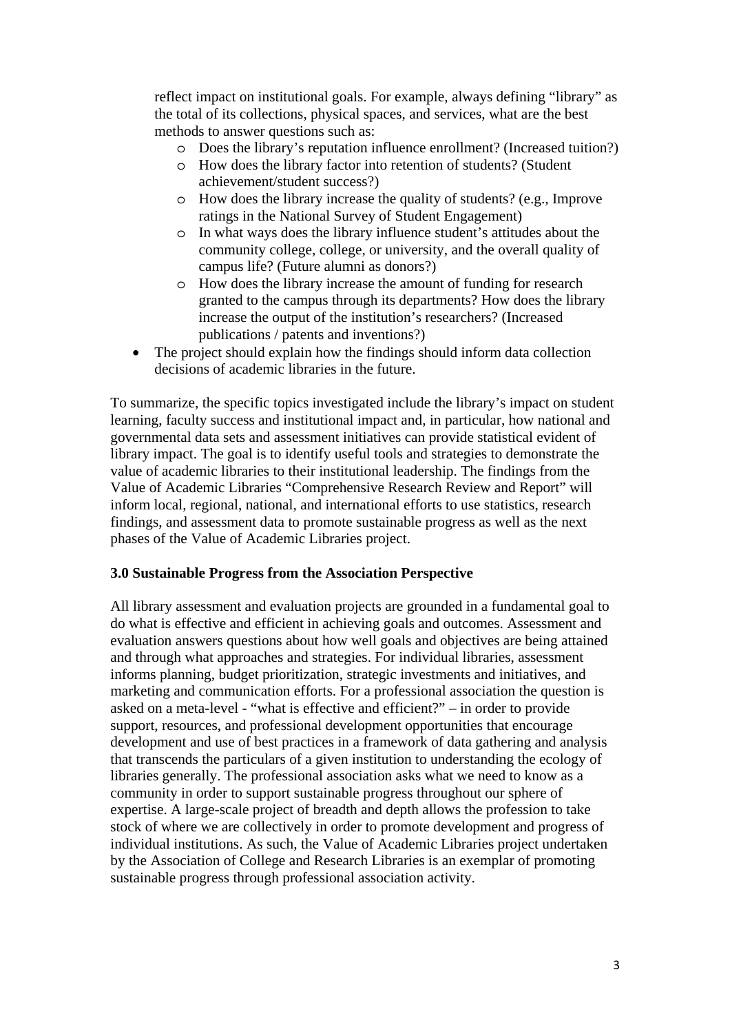reflect impact on institutional goals. For example, always defining "library" as the total of its collections, physical spaces, and services, what are the best methods to answer questions such as:

- o Does the library's reputation influence enrollment? (Increased tuition?)
- o How does the library factor into retention of students? (Student achievement/student success?)
- o How does the library increase the quality of students? (e.g., Improve ratings in the National Survey of Student Engagement)
- o In what ways does the library influence student's attitudes about the community college, college, or university, and the overall quality of campus life? (Future alumni as donors?)
- o How does the library increase the amount of funding for research granted to the campus through its departments? How does the library increase the output of the institution's researchers? (Increased publications / patents and inventions?)
- The project should explain how the findings should inform data collection decisions of academic libraries in the future.

To summarize, the specific topics investigated include the library's impact on student learning, faculty success and institutional impact and, in particular, how national and governmental data sets and assessment initiatives can provide statistical evident of library impact. The goal is to identify useful tools and strategies to demonstrate the value of academic libraries to their institutional leadership. The findings from the Value of Academic Libraries "Comprehensive Research Review and Report" will inform local, regional, national, and international efforts to use statistics, research findings, and assessment data to promote sustainable progress as well as the next phases of the Value of Academic Libraries project.

# **3.0 Sustainable Progress from the Association Perspective**

All library assessment and evaluation projects are grounded in a fundamental goal to do what is effective and efficient in achieving goals and outcomes. Assessment and evaluation answers questions about how well goals and objectives are being attained and through what approaches and strategies. For individual libraries, assessment informs planning, budget prioritization, strategic investments and initiatives, and marketing and communication efforts. For a professional association the question is asked on a meta-level - "what is effective and efficient?" – in order to provide support, resources, and professional development opportunities that encourage development and use of best practices in a framework of data gathering and analysis that transcends the particulars of a given institution to understanding the ecology of libraries generally. The professional association asks what we need to know as a community in order to support sustainable progress throughout our sphere of expertise. A large-scale project of breadth and depth allows the profession to take stock of where we are collectively in order to promote development and progress of individual institutions. As such, the Value of Academic Libraries project undertaken by the Association of College and Research Libraries is an exemplar of promoting sustainable progress through professional association activity.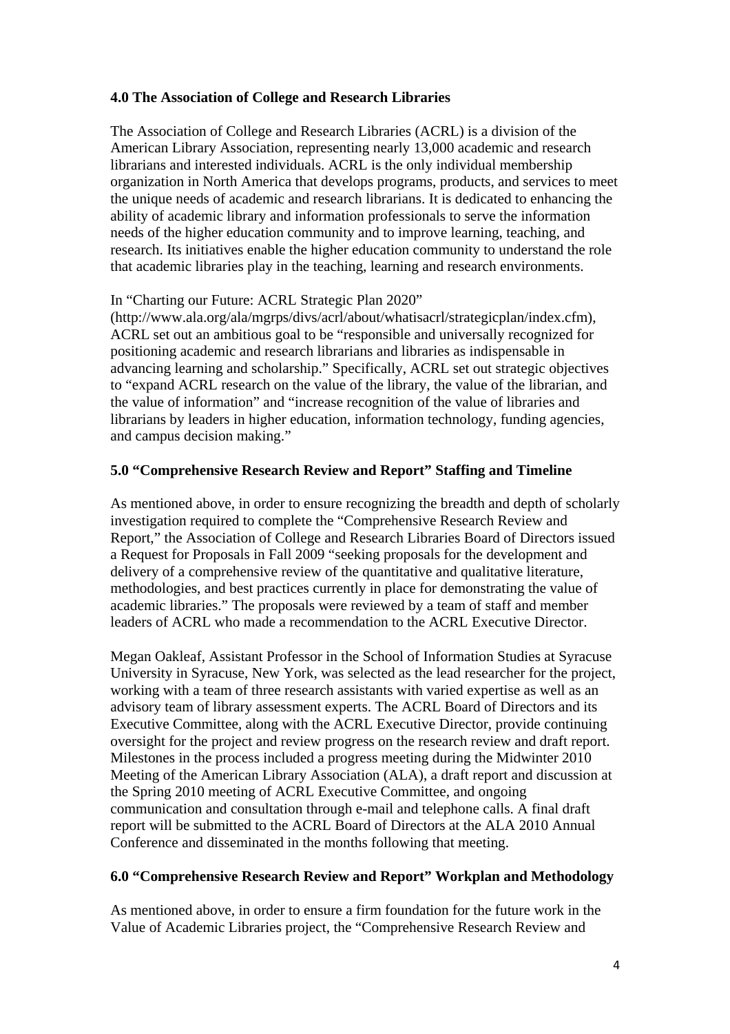## **4.0 The Association of College and Research Libraries**

The Association of College and Research Libraries (ACRL) is a division of the American Library Association, representing nearly 13,000 academic and research librarians and interested individuals. ACRL is the only individual membership organization in North America that develops programs, products, and services to meet the unique needs of academic and research librarians. It is dedicated to enhancing the ability of academic library and information professionals to serve the information needs of the higher education community and to improve learning, teaching, and research. Its initiatives enable the higher education community to understand the role that academic libraries play in the teaching, learning and research environments.

## In "Charting our Future: ACRL Strategic Plan 2020"

(http://www.ala.org/ala/mgrps/divs/acrl/about/whatisacrl/strategicplan/index.cfm), ACRL set out an ambitious goal to be "responsible and universally recognized for positioning academic and research librarians and libraries as indispensable in advancing learning and scholarship." Specifically, ACRL set out strategic objectives to "expand ACRL research on the value of the library, the value of the librarian, and the value of information" and "increase recognition of the value of libraries and librarians by leaders in higher education, information technology, funding agencies, and campus decision making."

## **5.0 "Comprehensive Research Review and Report" Staffing and Timeline**

As mentioned above, in order to ensure recognizing the breadth and depth of scholarly investigation required to complete the "Comprehensive Research Review and Report," the Association of College and Research Libraries Board of Directors issued a Request for Proposals in Fall 2009 "seeking proposals for the development and delivery of a comprehensive review of the quantitative and qualitative literature, methodologies, and best practices currently in place for demonstrating the value of academic libraries." The proposals were reviewed by a team of staff and member leaders of ACRL who made a recommendation to the ACRL Executive Director.

Megan Oakleaf, Assistant Professor in the School of Information Studies at Syracuse University in Syracuse, New York, was selected as the lead researcher for the project, working with a team of three research assistants with varied expertise as well as an advisory team of library assessment experts. The ACRL Board of Directors and its Executive Committee, along with the ACRL Executive Director, provide continuing oversight for the project and review progress on the research review and draft report. Milestones in the process included a progress meeting during the Midwinter 2010 Meeting of the American Library Association (ALA), a draft report and discussion at the Spring 2010 meeting of ACRL Executive Committee, and ongoing communication and consultation through e-mail and telephone calls. A final draft report will be submitted to the ACRL Board of Directors at the ALA 2010 Annual Conference and disseminated in the months following that meeting.

### **6.0 "Comprehensive Research Review and Report" Workplan and Methodology**

As mentioned above, in order to ensure a firm foundation for the future work in the Value of Academic Libraries project, the "Comprehensive Research Review and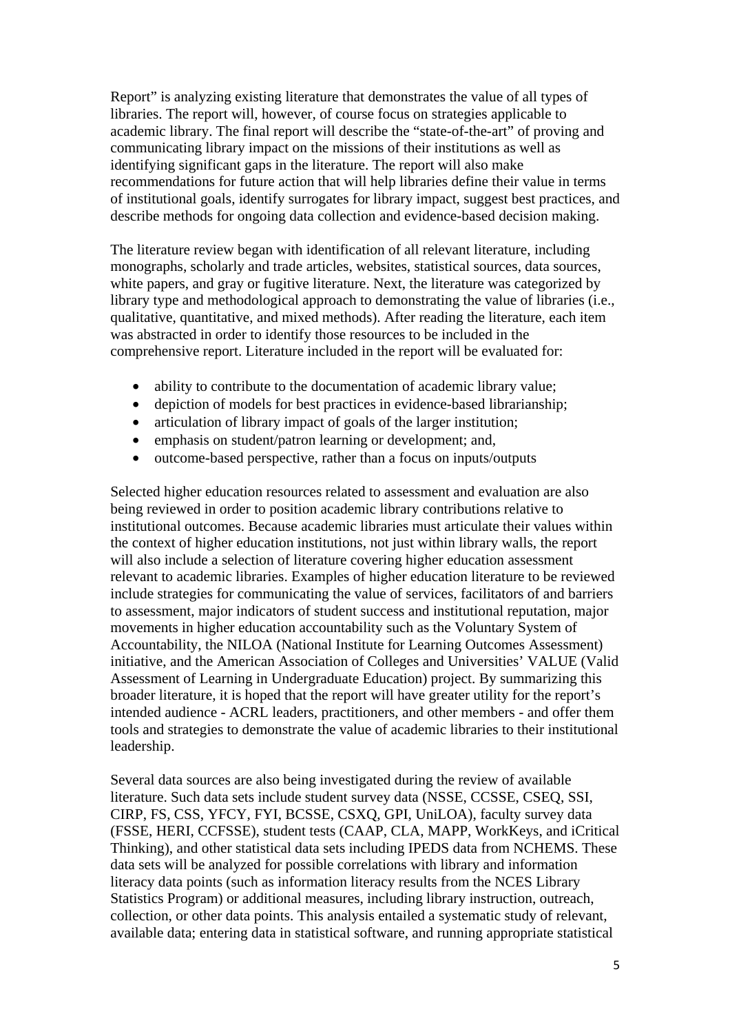Report" is analyzing existing literature that demonstrates the value of all types of libraries. The report will, however, of course focus on strategies applicable to academic library. The final report will describe the "state-of-the-art" of proving and communicating library impact on the missions of their institutions as well as identifying significant gaps in the literature. The report will also make recommendations for future action that will help libraries define their value in terms of institutional goals, identify surrogates for library impact, suggest best practices, and describe methods for ongoing data collection and evidence-based decision making.

The literature review began with identification of all relevant literature, including monographs, scholarly and trade articles, websites, statistical sources, data sources, white papers, and gray or fugitive literature. Next, the literature was categorized by library type and methodological approach to demonstrating the value of libraries (i.e., qualitative, quantitative, and mixed methods). After reading the literature, each item was abstracted in order to identify those resources to be included in the comprehensive report. Literature included in the report will be evaluated for:

- ability to contribute to the documentation of academic library value;
- depiction of models for best practices in evidence-based librarianship;
- articulation of library impact of goals of the larger institution;
- emphasis on student/patron learning or development; and,
- outcome-based perspective, rather than a focus on inputs/outputs

Selected higher education resources related to assessment and evaluation are also being reviewed in order to position academic library contributions relative to institutional outcomes. Because academic libraries must articulate their values within the context of higher education institutions, not just within library walls, the report will also include a selection of literature covering higher education assessment relevant to academic libraries. Examples of higher education literature to be reviewed include strategies for communicating the value of services, facilitators of and barriers to assessment, major indicators of student success and institutional reputation, major movements in higher education accountability such as the Voluntary System of Accountability, the NILOA (National Institute for Learning Outcomes Assessment) initiative, and the American Association of Colleges and Universities' VALUE (Valid Assessment of Learning in Undergraduate Education) project. By summarizing this broader literature, it is hoped that the report will have greater utility for the report's intended audience - ACRL leaders, practitioners, and other members - and offer them tools and strategies to demonstrate the value of academic libraries to their institutional leadership.

Several data sources are also being investigated during the review of available literature. Such data sets include student survey data (NSSE, CCSSE, CSEQ, SSI, CIRP, FS, CSS, YFCY, FYI, BCSSE, CSXQ, GPI, UniLOA), faculty survey data (FSSE, HERI, CCFSSE), student tests (CAAP, CLA, MAPP, WorkKeys, and iCritical Thinking), and other statistical data sets including IPEDS data from NCHEMS. These data sets will be analyzed for possible correlations with library and information literacy data points (such as information literacy results from the NCES Library Statistics Program) or additional measures, including library instruction, outreach, collection, or other data points. This analysis entailed a systematic study of relevant, available data; entering data in statistical software, and running appropriate statistical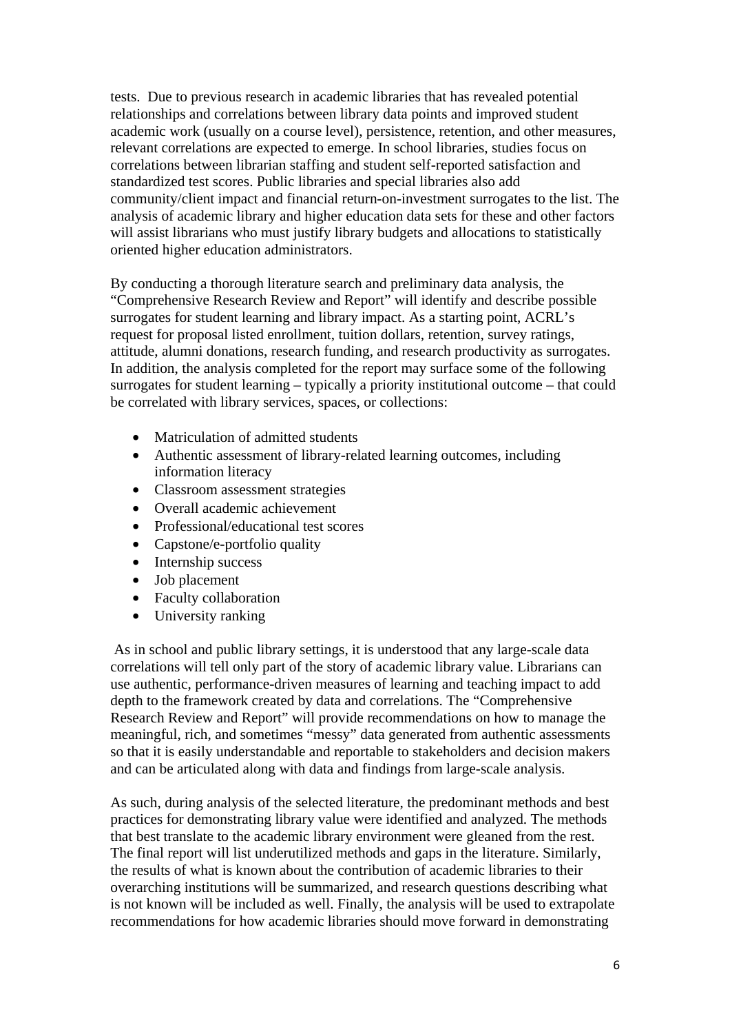tests. Due to previous research in academic libraries that has revealed potential relationships and correlations between library data points and improved student academic work (usually on a course level), persistence, retention, and other measures, relevant correlations are expected to emerge. In school libraries, studies focus on correlations between librarian staffing and student self-reported satisfaction and standardized test scores. Public libraries and special libraries also add community/client impact and financial return-on-investment surrogates to the list. The analysis of academic library and higher education data sets for these and other factors will assist librarians who must justify library budgets and allocations to statistically oriented higher education administrators.

By conducting a thorough literature search and preliminary data analysis, the "Comprehensive Research Review and Report" will identify and describe possible surrogates for student learning and library impact. As a starting point, ACRL's request for proposal listed enrollment, tuition dollars, retention, survey ratings, attitude, alumni donations, research funding, and research productivity as surrogates. In addition, the analysis completed for the report may surface some of the following surrogates for student learning – typically a priority institutional outcome – that could be correlated with library services, spaces, or collections:

- Matriculation of admitted students
- Authentic assessment of library-related learning outcomes, including information literacy
- Classroom assessment strategies
- Overall academic achievement
- Professional/educational test scores
- Capstone/e-portfolio quality
- Internship success
- Job placement
- Faculty collaboration
- University ranking

 As in school and public library settings, it is understood that any large-scale data correlations will tell only part of the story of academic library value. Librarians can use authentic, performance-driven measures of learning and teaching impact to add depth to the framework created by data and correlations. The "Comprehensive Research Review and Report" will provide recommendations on how to manage the meaningful, rich, and sometimes "messy" data generated from authentic assessments so that it is easily understandable and reportable to stakeholders and decision makers and can be articulated along with data and findings from large-scale analysis.

As such, during analysis of the selected literature, the predominant methods and best practices for demonstrating library value were identified and analyzed. The methods that best translate to the academic library environment were gleaned from the rest. The final report will list underutilized methods and gaps in the literature. Similarly, the results of what is known about the contribution of academic libraries to their overarching institutions will be summarized, and research questions describing what is not known will be included as well. Finally, the analysis will be used to extrapolate recommendations for how academic libraries should move forward in demonstrating